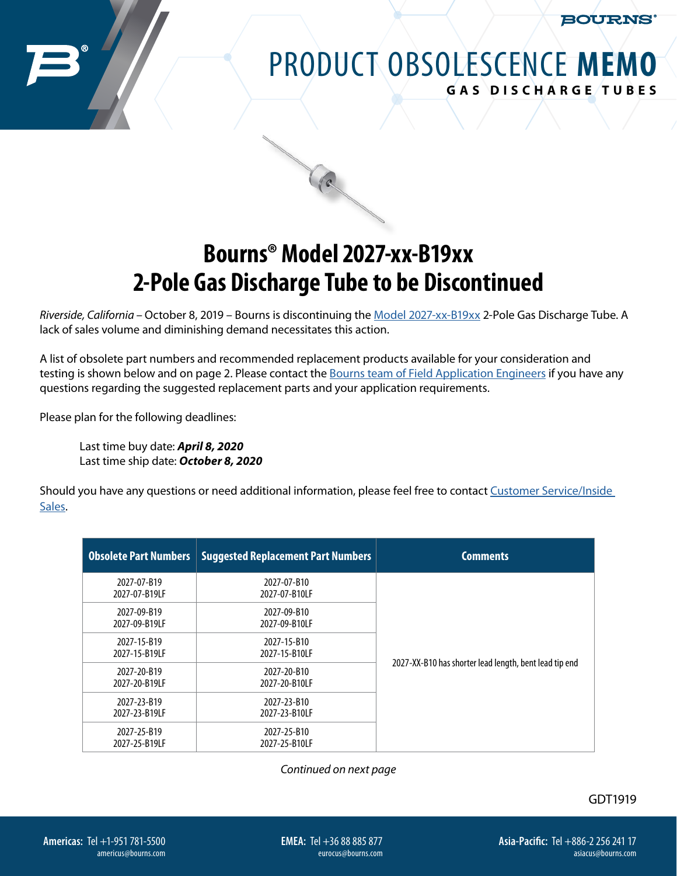BOURNS

## PRODUCT OBSOLESCENCE **MEMO GAS DISCHARGE TUBES**

## **Bourns® Model 2027-xx-B19xx 2-Pole Gas Discharge Tube to be Discontinued**

*Riverside, California* – October 8, 2019 – Bourns is discontinuing the [Model 2027-xx-B19xx](https://www.bourns.com/docs/product-datasheets/2027.pdf) 2-Pole Gas Discharge Tube. A lack of sales volume and diminishing demand necessitates this action.

A list of obsolete part numbers and recommended replacement products available for your consideration and testing is shown below and on page 2. Please contact the [Bourns team of Field Application Engineers](https://bourns.com/support/contact) if you have any questions regarding the suggested replacement parts and your application requirements.

Please plan for the following deadlines:

Last time buy date: *April 8, 2020* Last time ship date: *October 8, 2020*

Should you have any questions or need additional information, please feel free to contact Customer Service/Inside [Sales](https://bourns.com/support/contact).

| <b>Obsolete Part Numbers</b> | <b>Suggested Replacement Part Numbers</b> | <b>Comments</b>                                        |
|------------------------------|-------------------------------------------|--------------------------------------------------------|
| 2027-07-B19<br>2027-07-B19LF | 2027-07-B10<br>2027-07-B10LF              |                                                        |
| 2027-09-B19<br>2027-09-B19LF | 2027-09-B10<br>2027-09-B10LF              |                                                        |
| 2027-15-B19<br>2027-15-B19LF | 2027-15-B10<br>2027-15-B10LF              |                                                        |
| 2027-20-B19<br>2027-20-B19LF | 2027-20-B10<br>2027-20-B10LF              | 2027-XX-B10 has shorter lead length, bent lead tip end |
| 2027-23-B19<br>2027-23-B19LF | 2027-23-B10<br>2027-23-B10LF              |                                                        |
| 2027-25-B19<br>2027-25-B19LF | 2027-25-B10<br>2027-25-B10LF              |                                                        |

*Continued on next page*

**EMEA:** Tel +36 88 885 877 eurocus@bourns.com GDT1919